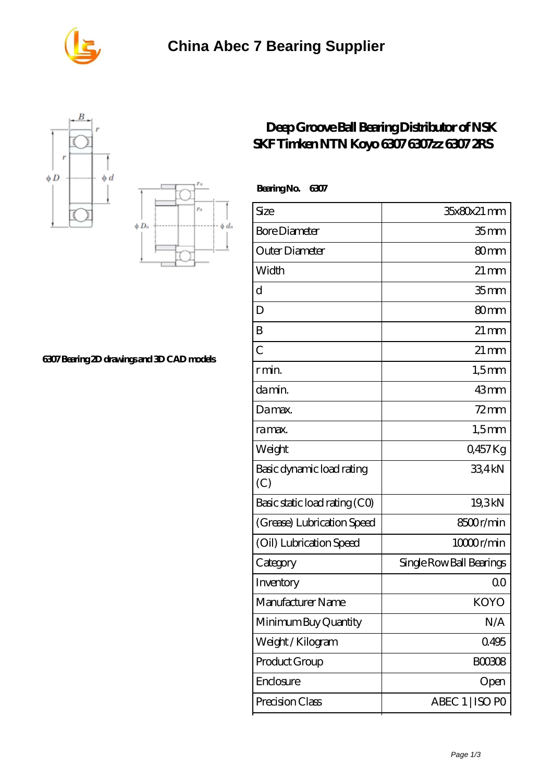

 **Bearing No. 6307**





**[6307 Bearing 2D drawings and 3D CAD models](https://m.seahorse-design.com/pic-560161.html)**

## **[Deep Groove Ball Bearing Distributor of NSK](https://m.seahorse-design.com/ntn-6307-bearing/deep-groove-ball-bearing-distributor-of-nsk-skf-timken-ntn-koyo-6307-6307zz-6307-2rs.html) [SKF Timken NTN Koyo 6307 6307zz 6307 2RS](https://m.seahorse-design.com/ntn-6307-bearing/deep-groove-ball-bearing-distributor-of-nsk-skf-timken-ntn-koyo-6307-6307zz-6307-2rs.html)**

| Size                             | 35x80x21 mm              |
|----------------------------------|--------------------------|
| <b>Bore Diameter</b>             | 35 <sub>mm</sub>         |
| Outer Diameter                   | 80 <sub>mm</sub>         |
| Width                            | $21 \,\mathrm{mm}$       |
| d                                | 35 <sub>mm</sub>         |
| D                                | 80 <sub>mm</sub>         |
| B                                | $21 \,\mathrm{mm}$       |
| $\overline{C}$                   | $21 \,\mathrm{mm}$       |
| r min.                           | $1,5$ mm                 |
| da min.                          | 43mm                     |
| Damax.                           | $72 \text{mm}$           |
| ra max.                          | $1,5$ mm                 |
| Weight                           | 0,457Kg                  |
| Basic dynamic load rating<br>(C) | 334kN                    |
| Basic static load rating (CO)    | 19,3kN                   |
| (Grease) Lubrication Speed       | 8500r/min                |
| (Oil) Lubrication Speed          | 10000r/min               |
| Category                         | Single Row Ball Bearings |
| Inventory                        | 0 <sub>0</sub>           |
| Manufacturer Name                | <b>KOYO</b>              |
| Minimum Buy Quantity             | N/A                      |
| Weight/Kilogram                  | 0495                     |
| Product Group                    | <b>BOO3O8</b>            |
| Enclosure                        | Open                     |
| Precision Class                  | ABEC 1   ISO PO          |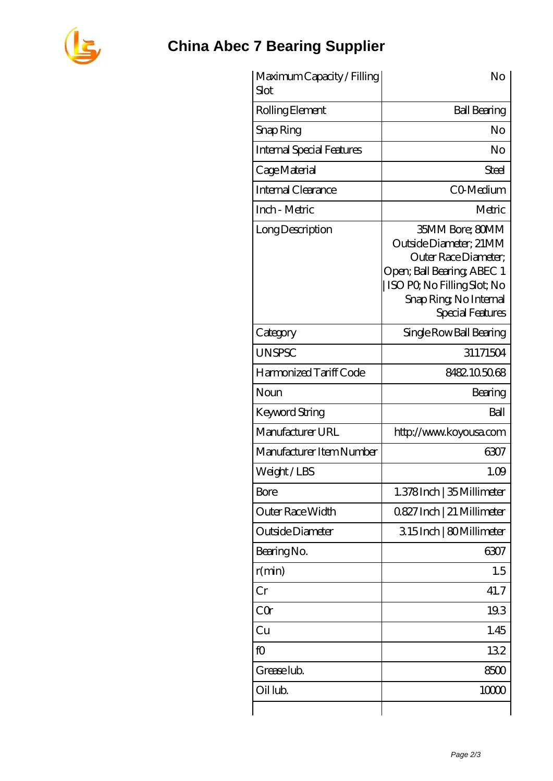

## **[China Abec 7 Bearing Supplier](https://m.seahorse-design.com)**

| Maximum Capacity / Filling<br>Slot | No                                                                                                                                                                                  |
|------------------------------------|-------------------------------------------------------------------------------------------------------------------------------------------------------------------------------------|
| Rolling Element                    | <b>Ball Bearing</b>                                                                                                                                                                 |
| Snap Ring                          | No                                                                                                                                                                                  |
| <b>Internal Special Features</b>   | No                                                                                                                                                                                  |
| Cage Material                      | Steel                                                                                                                                                                               |
| Internal Clearance                 | CO-Medium                                                                                                                                                                           |
| Inch - Metric                      | Metric                                                                                                                                                                              |
| Long Description                   | 35MM Bore; 80MM<br>Outside Diameter; 21MM<br>Outer Race Diameter:<br>Open; Ball Bearing; ABEC 1<br>ISO PO, No Filling Slot; No<br>Snap Ring, No Internal<br><b>Special Features</b> |
| Category                           | Single Row Ball Bearing                                                                                                                                                             |
| <b>UNSPSC</b>                      | 31171504                                                                                                                                                                            |
| Harmonized Tariff Code             | 8482105068                                                                                                                                                                          |
| Noun                               | Bearing                                                                                                                                                                             |
| <b>Keyword String</b>              | Ball                                                                                                                                                                                |
| Manufacturer URL                   | http://www.koyousa.com                                                                                                                                                              |
| Manufacturer Item Number           | 6307                                                                                                                                                                                |
| Weight/LBS                         | 1.09                                                                                                                                                                                |
| Bore                               | 1.378Inch   35 Millimeter                                                                                                                                                           |
| Outer Race Width                   | 0827 Inch   21 Millimeter                                                                                                                                                           |
| Outside Diameter                   | 315Inch   80Millimeter                                                                                                                                                              |
| Bearing No.                        | 6307                                                                                                                                                                                |
| r(min)                             | 1.5                                                                                                                                                                                 |
| Cr                                 | 41.7                                                                                                                                                                                |
| CQr                                | 19.3                                                                                                                                                                                |
| Cu                                 | 1.45                                                                                                                                                                                |
| fO                                 | 132                                                                                                                                                                                 |
| Grease lub.                        | 8500                                                                                                                                                                                |
| Oil lub.                           | 10000                                                                                                                                                                               |
|                                    |                                                                                                                                                                                     |